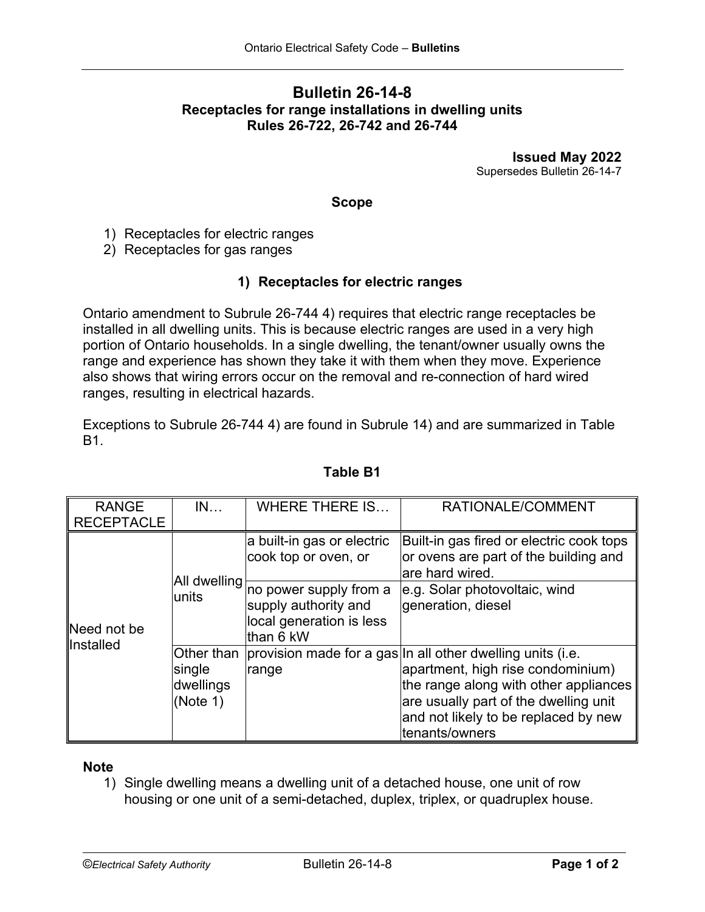# **Bulletin 26-14-8 Receptacles for range installations in dwelling units Rules 26-722, 26-742 and 26-744**

**Issued May 2022** Supersedes Bulletin 26-14-7

### **Scope**

1) Receptacles for electric ranges

2) Receptacles for gas ranges

### **1) Receptacles for electric ranges**

Ontario amendment to Subrule 26-744 4) requires that electric range receptacles be installed in all dwelling units. This is because electric ranges are used in a very high portion of Ontario households. In a single dwelling, the tenant/owner usually owns the range and experience has shown they take it with them when they move. Experience also shows that wiring errors occur on the removal and re-connection of hard wired ranges, resulting in electrical hazards.

Exceptions to Subrule 26-744 4) are found in Subrule 14) and are summarized in Table B1.

| <b>RANGE</b><br><b>RECEPTACLE</b> | IN                              | <b>WHERE THERE IS</b>                                                                   | RATIONALE/COMMENT                                                                                                                                                                                                                                      |
|-----------------------------------|---------------------------------|-----------------------------------------------------------------------------------------|--------------------------------------------------------------------------------------------------------------------------------------------------------------------------------------------------------------------------------------------------------|
| Need not be<br>llnstalled         | <b>All dwelling</b><br>units    | a built-in gas or electric<br>cook top or oven, or                                      | Built-in gas fired or electric cook tops<br>or ovens are part of the building and<br>are hard wired.                                                                                                                                                   |
|                                   |                                 | no power supply from a<br>supply authority and<br>local generation is less<br>than 6 kW | e.g. Solar photovoltaic, wind<br>generation, diesel                                                                                                                                                                                                    |
|                                   | single<br>dwellings<br>(Note 1) | range                                                                                   | Other than provision made for a gas In all other dwelling units (i.e.<br>apartment, high rise condominium)<br>the range along with other appliances<br>are usually part of the dwelling unit<br>and not likely to be replaced by new<br>tenants/owners |

## **Table B1**

#### **Note**

1) Single dwelling means a dwelling unit of a detached house, one unit of row housing or one unit of a semi-detached, duplex, triplex, or quadruplex house.